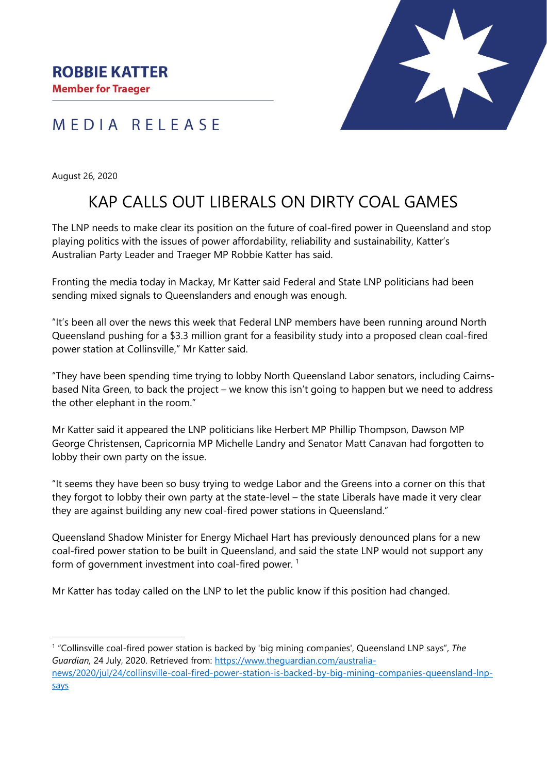## MEDIA RELEASE

August 26, 2020

# KAP CALLS OUT LIBERALS ON DIRTY COAL GAMES

The LNP needs to make clear its position on the future of coal-fired power in Queensland and stop playing politics with the issues of power affordability, reliability and sustainability, Katter's Australian Party Leader and Traeger MP Robbie Katter has said.

Fronting the media today in Mackay, Mr Katter said Federal and State LNP politicians had been sending mixed signals to Queenslanders and enough was enough.

"It's been all over the news this week that Federal LNP members have been running around North Queensland pushing for a \$3.3 million grant for a feasibility study into a proposed clean coal-fired power station at Collinsville," Mr Katter said.

"They have been spending time trying to lobby North Queensland Labor senators, including Cairnsbased Nita Green, to back the project – we know this isn't going to happen but we need to address the other elephant in the room."

Mr Katter said it appeared the LNP politicians like Herbert MP Phillip Thompson, Dawson MP George Christensen, Capricornia MP Michelle Landry and Senator Matt Canavan had forgotten to lobby their own party on the issue.

"It seems they have been so busy trying to wedge Labor and the Greens into a corner on this that they forgot to lobby their own party at the state-level – the state Liberals have made it very clear they are against building any new coal-fired power stations in Queensland."

Queensland Shadow Minister for Energy Michael Hart has previously denounced plans for a new coal-fired power station to be built in Queensland, and said the state LNP would not support any form of government investment into coal-fired power.<sup>1</sup>

Mr Katter has today called on the LNP to let the public know if this position had changed.

<sup>1</sup> "Collinsville coal-fired power station is backed by 'big mining companies', Queensland LNP says", *The Guardian,* 24 July, 2020. Retrieved from: [https://www.theguardian.com/australia](https://www.theguardian.com/australia-news/2020/jul/24/collinsville-coal-fired-power-station-is-backed-by-big-mining-companies-queensland-lnp-says)[news/2020/jul/24/collinsville-coal-fired-power-station-is-backed-by-big-mining-companies-queensland-lnp](https://www.theguardian.com/australia-news/2020/jul/24/collinsville-coal-fired-power-station-is-backed-by-big-mining-companies-queensland-lnp-says)[says](https://www.theguardian.com/australia-news/2020/jul/24/collinsville-coal-fired-power-station-is-backed-by-big-mining-companies-queensland-lnp-says)